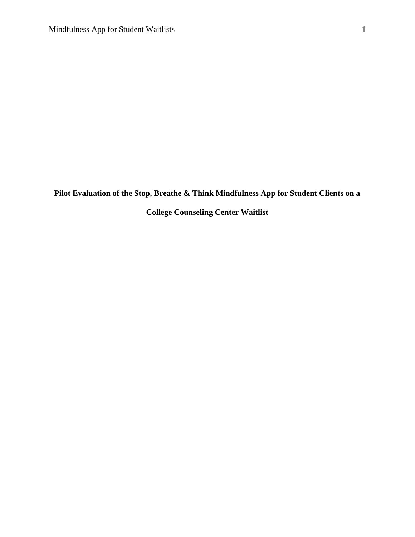**Pilot Evaluation of the Stop, Breathe & Think Mindfulness App for Student Clients on a** 

**College Counseling Center Waitlist**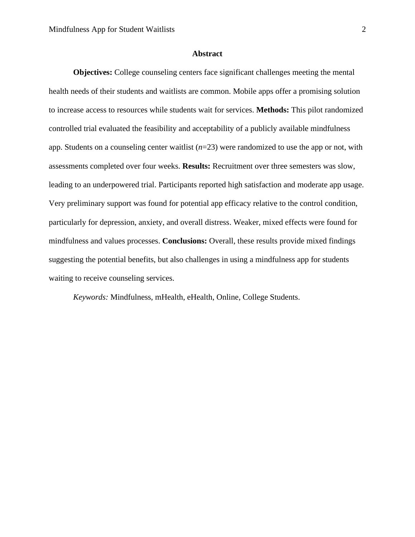# **Abstract**

**Objectives:** College counseling centers face significant challenges meeting the mental health needs of their students and waitlists are common. Mobile apps offer a promising solution to increase access to resources while students wait for services. **Methods:** This pilot randomized controlled trial evaluated the feasibility and acceptability of a publicly available mindfulness app. Students on a counseling center waitlist (*n*=23) were randomized to use the app or not, with assessments completed over four weeks. **Results:** Recruitment over three semesters was slow, leading to an underpowered trial. Participants reported high satisfaction and moderate app usage. Very preliminary support was found for potential app efficacy relative to the control condition, particularly for depression, anxiety, and overall distress. Weaker, mixed effects were found for mindfulness and values processes. **Conclusions:** Overall, these results provide mixed findings suggesting the potential benefits, but also challenges in using a mindfulness app for students waiting to receive counseling services.

*Keywords:* Mindfulness, mHealth, eHealth, Online, College Students.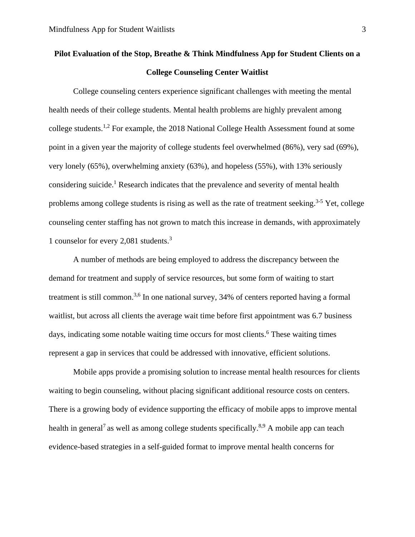# **Pilot Evaluation of the Stop, Breathe & Think Mindfulness App for Student Clients on a College Counseling Center Waitlist**

College counseling centers experience significant challenges with meeting the mental health needs of their college students. Mental health problems are highly prevalent among college students.<sup>1,2</sup> For example, the 2018 National College Health Assessment found at some point in a given year the majority of college students feel overwhelmed (86%), very sad (69%), very lonely (65%), overwhelming anxiety (63%), and hopeless (55%), with 13% seriously considering suicide. <sup>1</sup> Research indicates that the prevalence and severity of mental health problems among college students is rising as well as the rate of treatment seeking.<sup>3-5</sup> Yet, college counseling center staffing has not grown to match this increase in demands, with approximately 1 counselor for every 2,081 students. 3

A number of methods are being employed to address the discrepancy between the demand for treatment and supply of service resources, but some form of waiting to start treatment is still common.<sup>3,6</sup> In one national survey, 34% of centers reported having a formal waitlist, but across all clients the average wait time before first appointment was 6.7 business days, indicating some notable waiting time occurs for most clients. <sup>6</sup> These waiting times represent a gap in services that could be addressed with innovative, efficient solutions.

Mobile apps provide a promising solution to increase mental health resources for clients waiting to begin counseling, without placing significant additional resource costs on centers. There is a growing body of evidence supporting the efficacy of mobile apps to improve mental health in general<sup>7</sup> as well as among college students specifically.<sup>8,9</sup> A mobile app can teach evidence-based strategies in a self-guided format to improve mental health concerns for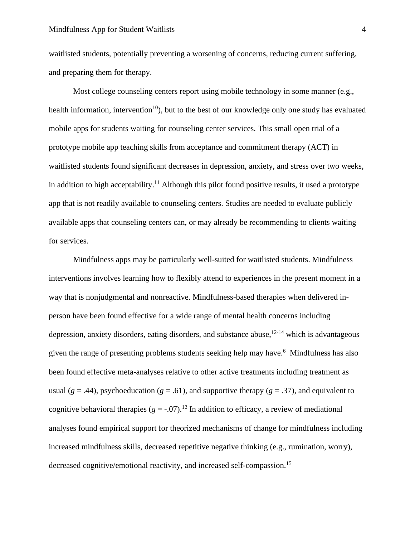waitlisted students, potentially preventing a worsening of concerns, reducing current suffering, and preparing them for therapy.

Most college counseling centers report using mobile technology in some manner (e.g., health information, intervention<sup>10</sup>), but to the best of our knowledge only one study has evaluated mobile apps for students waiting for counseling center services. This small open trial of a prototype mobile app teaching skills from acceptance and commitment therapy (ACT) in waitlisted students found significant decreases in depression, anxiety, and stress over two weeks, in addition to high acceptability.<sup>11</sup> Although this pilot found positive results, it used a prototype app that is not readily available to counseling centers. Studies are needed to evaluate publicly available apps that counseling centers can, or may already be recommending to clients waiting for services.

Mindfulness apps may be particularly well-suited for waitlisted students. Mindfulness interventions involves learning how to flexibly attend to experiences in the present moment in a way that is nonjudgmental and nonreactive. Mindfulness-based therapies when delivered inperson have been found effective for a wide range of mental health concerns including depression, anxiety disorders, eating disorders, and substance abuse,<sup>12-14</sup> which is advantageous given the range of presenting problems students seeking help may have.<sup>6</sup> Mindfulness has also been found effective meta-analyses relative to other active treatments including treatment as usual ( $g = .44$ ), psychoeducation ( $g = .61$ ), and supportive therapy ( $g = .37$ ), and equivalent to cognitive behavioral therapies  $(g = -0.07)$ .<sup>12</sup> In addition to efficacy, a review of mediational analyses found empirical support for theorized mechanisms of change for mindfulness including increased mindfulness skills, decreased repetitive negative thinking (e.g., rumination, worry), decreased cognitive/emotional reactivity, and increased self-compassion.<sup>15</sup>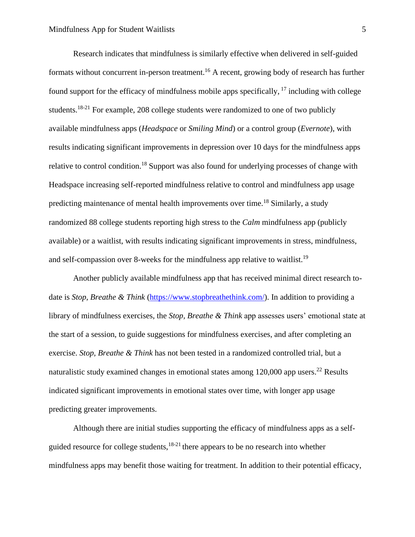Research indicates that mindfulness is similarly effective when delivered in self-guided formats without concurrent in-person treatment.<sup>16</sup> A recent, growing body of research has further found support for the efficacy of mindfulness mobile apps specifically, <sup>17</sup> including with college students.<sup>18-21</sup> For example, 208 college students were randomized to one of two publicly available mindfulness apps (*Headspace* or *Smiling Mind*) or a control group (*Evernote*), with results indicating significant improvements in depression over 10 days for the mindfulness apps relative to control condition.<sup>18</sup> Support was also found for underlying processes of change with Headspace increasing self-reported mindfulness relative to control and mindfulness app usage predicting maintenance of mental health improvements over time.<sup>18</sup> Similarly, a study randomized 88 college students reporting high stress to the *Calm* mindfulness app (publicly available) or a waitlist, with results indicating significant improvements in stress, mindfulness, and self-compassion over 8-weeks for the mindfulness app relative to waitlist.<sup>19</sup>

Another publicly available mindfulness app that has received minimal direct research todate is *Stop, Breathe & Think* [\(https://www.stopbreathethink.com/\)](https://www.stopbreathethink.com/). In addition to providing a library of mindfulness exercises, the *Stop, Breathe & Think* app assesses users' emotional state at the start of a session, to guide suggestions for mindfulness exercises, and after completing an exercise. *Stop, Breathe & Think* has not been tested in a randomized controlled trial, but a naturalistic study examined changes in emotional states among  $120,000$  app users.<sup>22</sup> Results indicated significant improvements in emotional states over time, with longer app usage predicting greater improvements.

Although there are initial studies supporting the efficacy of mindfulness apps as a selfguided resource for college students, $18-21$  there appears to be no research into whether mindfulness apps may benefit those waiting for treatment. In addition to their potential efficacy,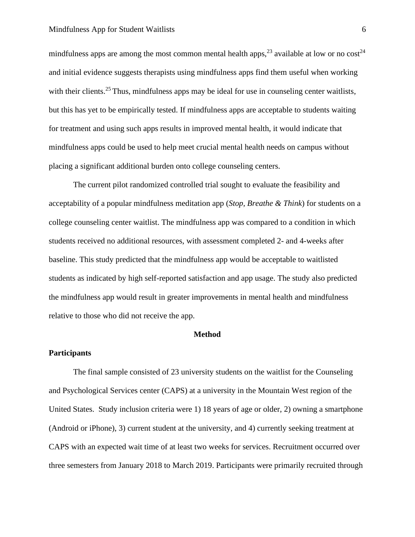# Mindfulness App for Student Waitlists 6

mindfulness apps are among the most common mental health apps,  $^{23}$  available at low or no cost<sup>24</sup> and initial evidence suggests therapists using mindfulness apps find them useful when working with their clients.<sup>25</sup> Thus, mindfulness apps may be ideal for use in counseling center waitlists, but this has yet to be empirically tested. If mindfulness apps are acceptable to students waiting for treatment and using such apps results in improved mental health, it would indicate that mindfulness apps could be used to help meet crucial mental health needs on campus without placing a significant additional burden onto college counseling centers.

The current pilot randomized controlled trial sought to evaluate the feasibility and acceptability of a popular mindfulness meditation app (*Stop, Breathe & Think*) for students on a college counseling center waitlist. The mindfulness app was compared to a condition in which students received no additional resources, with assessment completed 2- and 4-weeks after baseline. This study predicted that the mindfulness app would be acceptable to waitlisted students as indicated by high self-reported satisfaction and app usage. The study also predicted the mindfulness app would result in greater improvements in mental health and mindfulness relative to those who did not receive the app.

#### **Method**

#### **Participants**

The final sample consisted of 23 university students on the waitlist for the Counseling and Psychological Services center (CAPS) at a university in the Mountain West region of the United States. Study inclusion criteria were 1) 18 years of age or older, 2) owning a smartphone (Android or iPhone), 3) current student at the university, and 4) currently seeking treatment at CAPS with an expected wait time of at least two weeks for services. Recruitment occurred over three semesters from January 2018 to March 2019. Participants were primarily recruited through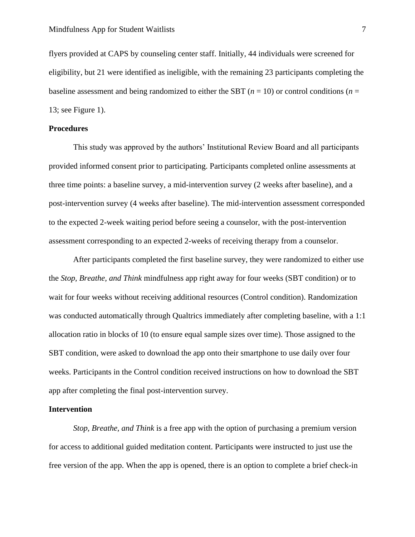flyers provided at CAPS by counseling center staff. Initially, 44 individuals were screened for eligibility, but 21 were identified as ineligible, with the remaining 23 participants completing the baseline assessment and being randomized to either the SBT (*n* = 10) or control conditions (*n* = 13; see Figure 1).

# **Procedures**

This study was approved by the authors' Institutional Review Board and all participants provided informed consent prior to participating. Participants completed online assessments at three time points: a baseline survey, a mid-intervention survey (2 weeks after baseline), and a post-intervention survey (4 weeks after baseline). The mid-intervention assessment corresponded to the expected 2-week waiting period before seeing a counselor, with the post-intervention assessment corresponding to an expected 2-weeks of receiving therapy from a counselor.

After participants completed the first baseline survey, they were randomized to either use the *Stop, Breathe, and Think* mindfulness app right away for four weeks (SBT condition) or to wait for four weeks without receiving additional resources (Control condition). Randomization was conducted automatically through Qualtrics immediately after completing baseline, with a 1:1 allocation ratio in blocks of 10 (to ensure equal sample sizes over time). Those assigned to the SBT condition, were asked to download the app onto their smartphone to use daily over four weeks. Participants in the Control condition received instructions on how to download the SBT app after completing the final post-intervention survey.

# **Intervention**

*Stop, Breathe, and Think* is a free app with the option of purchasing a premium version for access to additional guided meditation content. Participants were instructed to just use the free version of the app. When the app is opened, there is an option to complete a brief check-in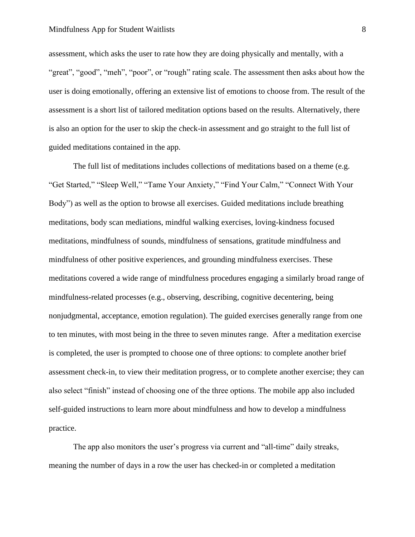# Mindfulness App for Student Waitlists 8

assessment, which asks the user to rate how they are doing physically and mentally, with a "great", "good", "meh", "poor", or "rough" rating scale. The assessment then asks about how the user is doing emotionally, offering an extensive list of emotions to choose from. The result of the assessment is a short list of tailored meditation options based on the results. Alternatively, there is also an option for the user to skip the check-in assessment and go straight to the full list of guided meditations contained in the app.

The full list of meditations includes collections of meditations based on a theme (e.g. "Get Started," "Sleep Well," "Tame Your Anxiety," "Find Your Calm," "Connect With Your Body") as well as the option to browse all exercises. Guided meditations include breathing meditations, body scan mediations, mindful walking exercises, loving-kindness focused meditations, mindfulness of sounds, mindfulness of sensations, gratitude mindfulness and mindfulness of other positive experiences, and grounding mindfulness exercises. These meditations covered a wide range of mindfulness procedures engaging a similarly broad range of mindfulness-related processes (e.g., observing, describing, cognitive decentering, being nonjudgmental, acceptance, emotion regulation). The guided exercises generally range from one to ten minutes, with most being in the three to seven minutes range. After a meditation exercise is completed, the user is prompted to choose one of three options: to complete another brief assessment check-in, to view their meditation progress, or to complete another exercise; they can also select "finish" instead of choosing one of the three options. The mobile app also included self-guided instructions to learn more about mindfulness and how to develop a mindfulness practice.

The app also monitors the user's progress via current and "all-time" daily streaks, meaning the number of days in a row the user has checked-in or completed a meditation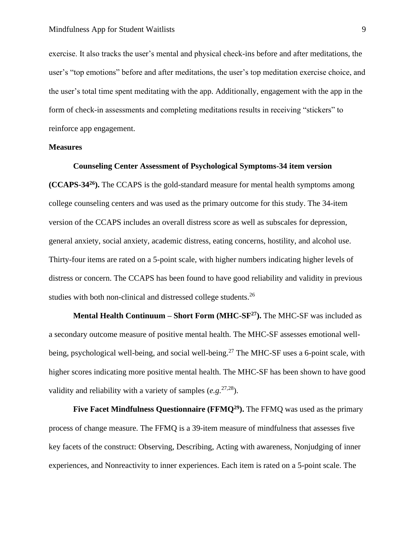exercise. It also tracks the user's mental and physical check-ins before and after meditations, the user's "top emotions" before and after meditations, the user's top meditation exercise choice, and the user's total time spent meditating with the app. Additionally, engagement with the app in the form of check-in assessments and completing meditations results in receiving "stickers" to reinforce app engagement.

# **Measures**

# **Counseling Center Assessment of Psychological Symptoms-34 item version**

**(CCAPS-34<sup>26</sup>).** The CCAPS is the gold-standard measure for mental health symptoms among college counseling centers and was used as the primary outcome for this study. The 34-item version of the CCAPS includes an overall distress score as well as subscales for depression, general anxiety, social anxiety, academic distress, eating concerns, hostility, and alcohol use. Thirty-four items are rated on a 5-point scale, with higher numbers indicating higher levels of distress or concern. The CCAPS has been found to have good reliability and validity in previous studies with both non-clinical and distressed college students.<sup>26</sup>

**Mental Health Continuum – Short Form (MHC-SF<sup>27</sup>).** The MHC-SF was included as a secondary outcome measure of positive mental health. The MHC-SF assesses emotional wellbeing, psychological well-being, and social well-being.<sup>27</sup> The MHC-SF uses a 6-point scale, with higher scores indicating more positive mental health. The MHC-SF has been shown to have good validity and reliability with a variety of samples  $(e.g.<sup>27,28</sup>)$ .

**Five Facet Mindfulness Questionnaire (FFMQ<sup>29</sup> ).** The FFMQ was used as the primary process of change measure. The FFMQ is a 39-item measure of mindfulness that assesses five key facets of the construct: Observing, Describing, Acting with awareness, Nonjudging of inner experiences, and Nonreactivity to inner experiences. Each item is rated on a 5-point scale. The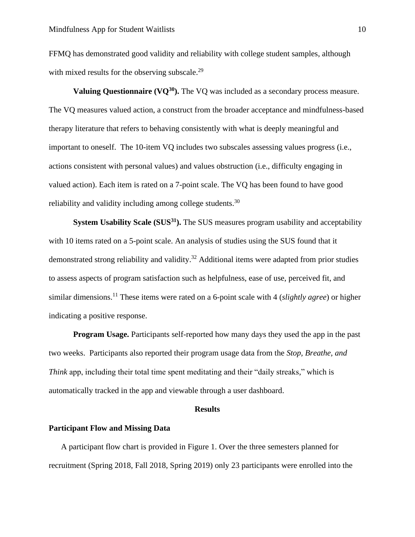FFMQ has demonstrated good validity and reliability with college student samples, although with mixed results for the observing subscale.<sup>29</sup>

**Valuing Questionnaire (VQ<sup>30</sup>).** The VQ was included as a secondary process measure. The VQ measures valued action, a construct from the broader acceptance and mindfulness-based therapy literature that refers to behaving consistently with what is deeply meaningful and important to oneself. The 10-item VQ includes two subscales assessing values progress (i.e., actions consistent with personal values) and values obstruction (i.e., difficulty engaging in valued action). Each item is rated on a 7-point scale. The VQ has been found to have good reliability and validity including among college students.<sup>30</sup>

**System Usability Scale (SUS<sup>31</sup>).** The SUS measures program usability and acceptability with 10 items rated on a 5-point scale. An analysis of studies using the SUS found that it demonstrated strong reliability and validity.<sup>32</sup> Additional items were adapted from prior studies to assess aspects of program satisfaction such as helpfulness, ease of use, perceived fit, and similar dimensions. <sup>11</sup> These items were rated on a 6-point scale with 4 (*slightly agree*) or higher indicating a positive response.

**Program Usage.** Participants self-reported how many days they used the app in the past two weeks. Participants also reported their program usage data from the *Stop, Breathe, and Think* app, including their total time spent meditating and their "daily streaks," which is automatically tracked in the app and viewable through a user dashboard.

#### **Results**

# **Participant Flow and Missing Data**

A participant flow chart is provided in Figure 1. Over the three semesters planned for recruitment (Spring 2018, Fall 2018, Spring 2019) only 23 participants were enrolled into the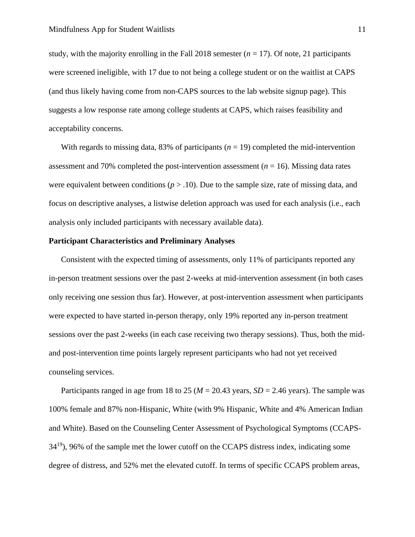study, with the majority enrolling in the Fall 2018 semester  $(n = 17)$ . Of note, 21 participants were screened ineligible, with 17 due to not being a college student or on the waitlist at CAPS (and thus likely having come from non-CAPS sources to the lab website signup page). This suggests a low response rate among college students at CAPS, which raises feasibility and acceptability concerns.

With regards to missing data,  $83\%$  of participants ( $n = 19$ ) completed the mid-intervention assessment and 70% completed the post-intervention assessment (*n* = 16). Missing data rates were equivalent between conditions  $(p > .10)$ . Due to the sample size, rate of missing data, and focus on descriptive analyses, a listwise deletion approach was used for each analysis (i.e., each analysis only included participants with necessary available data).

# **Participant Characteristics and Preliminary Analyses**

Consistent with the expected timing of assessments, only 11% of participants reported any in-person treatment sessions over the past 2-weeks at mid-intervention assessment (in both cases only receiving one session thus far). However, at post-intervention assessment when participants were expected to have started in-person therapy, only 19% reported any in-person treatment sessions over the past 2-weeks (in each case receiving two therapy sessions). Thus, both the midand post-intervention time points largely represent participants who had not yet received counseling services.

Participants ranged in age from 18 to 25 ( $M = 20.43$  years,  $SD = 2.46$  years). The sample was 100% female and 87% non-Hispanic, White (with 9% Hispanic, White and 4% American Indian and White). Based on the Counseling Center Assessment of Psychological Symptoms (CCAPS- $34^{19}$ , 96% of the sample met the lower cutoff on the CCAPS distress index, indicating some degree of distress, and 52% met the elevated cutoff. In terms of specific CCAPS problem areas,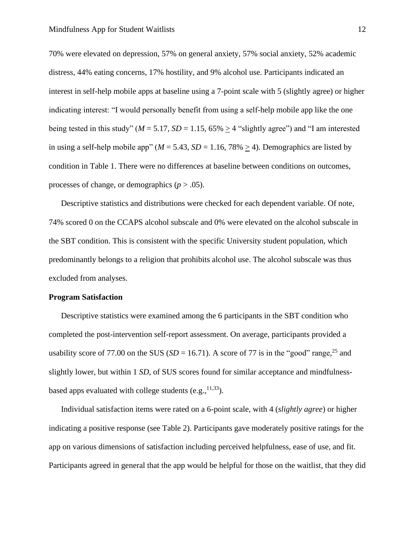70% were elevated on depression, 57% on general anxiety, 57% social anxiety, 52% academic distress, 44% eating concerns, 17% hostility, and 9% alcohol use. Participants indicated an interest in self-help mobile apps at baseline using a 7-point scale with 5 (slightly agree) or higher indicating interest: "I would personally benefit from using a self-help mobile app like the one being tested in this study" ( $M = 5.17$ ,  $SD = 1.15$ ,  $65\% > 4$  "slightly agree") and "I am interested in using a self-help mobile app" ( $M = 5.43$ ,  $SD = 1.16$ ,  $78\% \ge 4$ ). Demographics are listed by condition in Table 1. There were no differences at baseline between conditions on outcomes, processes of change, or demographics (*p* > .05).

Descriptive statistics and distributions were checked for each dependent variable. Of note, 74% scored 0 on the CCAPS alcohol subscale and 0% were elevated on the alcohol subscale in the SBT condition. This is consistent with the specific University student population, which predominantly belongs to a religion that prohibits alcohol use. The alcohol subscale was thus excluded from analyses.

#### **Program Satisfaction**

Descriptive statistics were examined among the 6 participants in the SBT condition who completed the post-intervention self-report assessment. On average, participants provided a usability score of 77.00 on the SUS ( $SD = 16.71$ ). A score of 77 is in the "good" range,<sup>25</sup> and slightly lower, but within 1 *SD*, of SUS scores found for similar acceptance and mindfulnessbased apps evaluated with college students (e.g.,  $^{11,33}$ ).

Individual satisfaction items were rated on a 6-point scale, with 4 (*slightly agree*) or higher indicating a positive response (see Table 2). Participants gave moderately positive ratings for the app on various dimensions of satisfaction including perceived helpfulness, ease of use, and fit. Participants agreed in general that the app would be helpful for those on the waitlist, that they did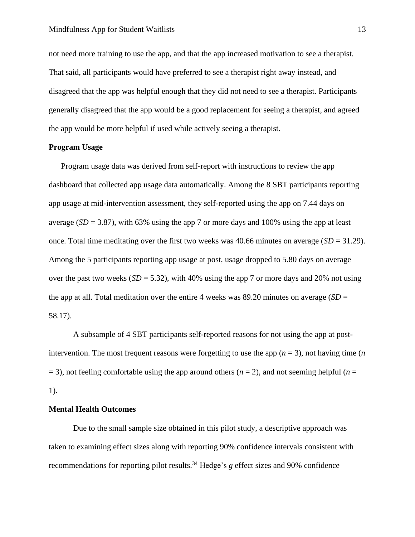not need more training to use the app, and that the app increased motivation to see a therapist. That said, all participants would have preferred to see a therapist right away instead, and disagreed that the app was helpful enough that they did not need to see a therapist. Participants generally disagreed that the app would be a good replacement for seeing a therapist, and agreed the app would be more helpful if used while actively seeing a therapist.

# **Program Usage**

Program usage data was derived from self-report with instructions to review the app dashboard that collected app usage data automatically. Among the 8 SBT participants reporting app usage at mid-intervention assessment, they self-reported using the app on 7.44 days on average  $(SD = 3.87)$ , with 63% using the app 7 or more days and 100% using the app at least once. Total time meditating over the first two weeks was 40.66 minutes on average (*SD* = 31.29). Among the 5 participants reporting app usage at post, usage dropped to 5.80 days on average over the past two weeks  $(SD = 5.32)$ , with 40% using the app 7 or more days and 20% not using the app at all. Total meditation over the entire 4 weeks was 89.20 minutes on average (*SD* = 58.17).

A subsample of 4 SBT participants self-reported reasons for not using the app at postintervention. The most frequent reasons were forgetting to use the app  $(n = 3)$ , not having time  $(n \nvert n)$  $(1, 3)$ , not feeling comfortable using the app around others ( $n = 2$ ), and not seeming helpful ( $n = 3$ ) 1).

# **Mental Health Outcomes**

Due to the small sample size obtained in this pilot study, a descriptive approach was taken to examining effect sizes along with reporting 90% confidence intervals consistent with recommendations for reporting pilot results.<sup>34</sup> Hedge's *g* effect sizes and 90% confidence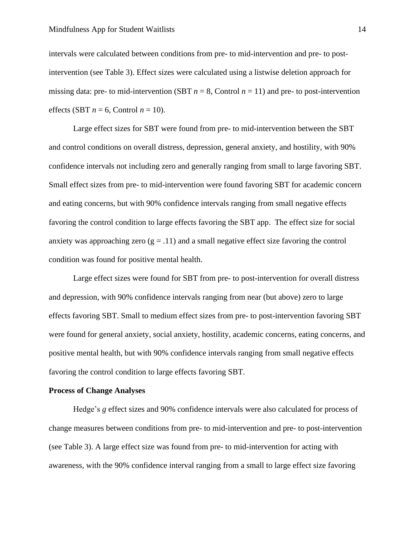intervals were calculated between conditions from pre- to mid-intervention and pre- to postintervention (see Table 3). Effect sizes were calculated using a listwise deletion approach for missing data: pre- to mid-intervention (SBT  $n = 8$ , Control  $n = 11$ ) and pre- to post-intervention effects (SBT  $n = 6$ , Control  $n = 10$ ).

Large effect sizes for SBT were found from pre- to mid-intervention between the SBT and control conditions on overall distress, depression, general anxiety, and hostility, with 90% confidence intervals not including zero and generally ranging from small to large favoring SBT. Small effect sizes from pre- to mid-intervention were found favoring SBT for academic concern and eating concerns, but with 90% confidence intervals ranging from small negative effects favoring the control condition to large effects favoring the SBT app. The effect size for social anxiety was approaching zero  $(g = .11)$  and a small negative effect size favoring the control condition was found for positive mental health.

Large effect sizes were found for SBT from pre- to post-intervention for overall distress and depression, with 90% confidence intervals ranging from near (but above) zero to large effects favoring SBT. Small to medium effect sizes from pre- to post-intervention favoring SBT were found for general anxiety, social anxiety, hostility, academic concerns, eating concerns, and positive mental health, but with 90% confidence intervals ranging from small negative effects favoring the control condition to large effects favoring SBT.

#### **Process of Change Analyses**

Hedge's *g* effect sizes and 90% confidence intervals were also calculated for process of change measures between conditions from pre- to mid-intervention and pre- to post-intervention (see Table 3). A large effect size was found from pre- to mid-intervention for acting with awareness, with the 90% confidence interval ranging from a small to large effect size favoring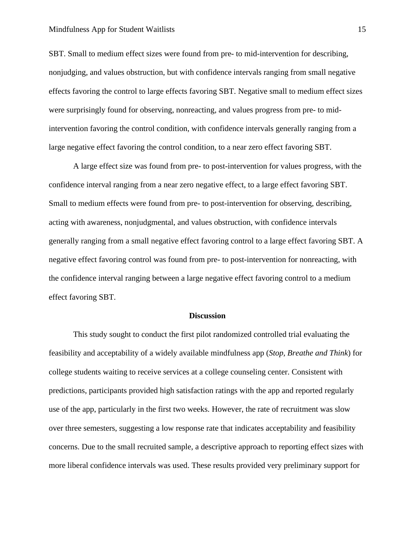SBT. Small to medium effect sizes were found from pre- to mid-intervention for describing, nonjudging, and values obstruction, but with confidence intervals ranging from small negative effects favoring the control to large effects favoring SBT. Negative small to medium effect sizes were surprisingly found for observing, nonreacting, and values progress from pre- to midintervention favoring the control condition, with confidence intervals generally ranging from a large negative effect favoring the control condition, to a near zero effect favoring SBT.

A large effect size was found from pre- to post-intervention for values progress, with the confidence interval ranging from a near zero negative effect, to a large effect favoring SBT. Small to medium effects were found from pre- to post-intervention for observing, describing, acting with awareness, nonjudgmental, and values obstruction, with confidence intervals generally ranging from a small negative effect favoring control to a large effect favoring SBT. A negative effect favoring control was found from pre- to post-intervention for nonreacting, with the confidence interval ranging between a large negative effect favoring control to a medium effect favoring SBT.

# **Discussion**

This study sought to conduct the first pilot randomized controlled trial evaluating the feasibility and acceptability of a widely available mindfulness app (*Stop, Breathe and Think*) for college students waiting to receive services at a college counseling center. Consistent with predictions, participants provided high satisfaction ratings with the app and reported regularly use of the app, particularly in the first two weeks. However, the rate of recruitment was slow over three semesters, suggesting a low response rate that indicates acceptability and feasibility concerns. Due to the small recruited sample, a descriptive approach to reporting effect sizes with more liberal confidence intervals was used. These results provided very preliminary support for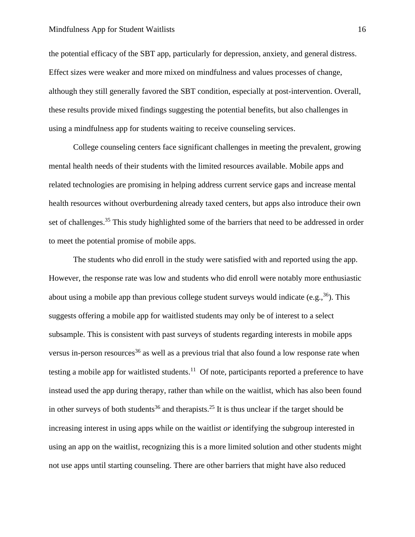# Mindfulness App for Student Waitlists 16

the potential efficacy of the SBT app, particularly for depression, anxiety, and general distress. Effect sizes were weaker and more mixed on mindfulness and values processes of change, although they still generally favored the SBT condition, especially at post-intervention. Overall, these results provide mixed findings suggesting the potential benefits, but also challenges in using a mindfulness app for students waiting to receive counseling services.

College counseling centers face significant challenges in meeting the prevalent, growing mental health needs of their students with the limited resources available. Mobile apps and related technologies are promising in helping address current service gaps and increase mental health resources without overburdening already taxed centers, but apps also introduce their own set of challenges.<sup>35</sup> This study highlighted some of the barriers that need to be addressed in order to meet the potential promise of mobile apps.

The students who did enroll in the study were satisfied with and reported using the app. However, the response rate was low and students who did enroll were notably more enthusiastic about using a mobile app than previous college student surveys would indicate (e.g.,  $36$ ). This suggests offering a mobile app for waitlisted students may only be of interest to a select subsample. This is consistent with past surveys of students regarding interests in mobile apps versus in-person resources<sup>36</sup> as well as a previous trial that also found a low response rate when testing a mobile app for waitlisted students.<sup>11</sup> Of note, participants reported a preference to have instead used the app during therapy, rather than while on the waitlist, which has also been found in other surveys of both students<sup>36</sup> and therapists.<sup>25</sup> It is thus unclear if the target should be increasing interest in using apps while on the waitlist *or* identifying the subgroup interested in using an app on the waitlist, recognizing this is a more limited solution and other students might not use apps until starting counseling. There are other barriers that might have also reduced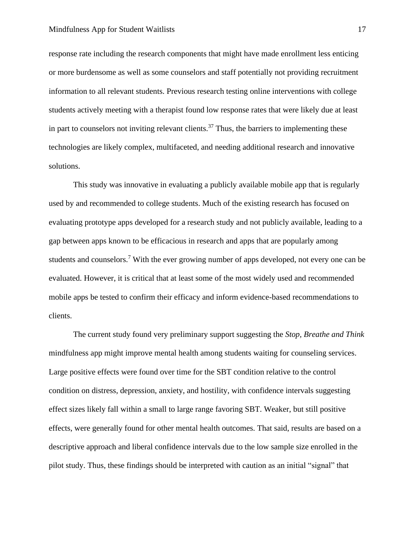response rate including the research components that might have made enrollment less enticing or more burdensome as well as some counselors and staff potentially not providing recruitment information to all relevant students. Previous research testing online interventions with college students actively meeting with a therapist found low response rates that were likely due at least in part to counselors not inviting relevant clients.<sup>37</sup> Thus, the barriers to implementing these technologies are likely complex, multifaceted, and needing additional research and innovative solutions.

This study was innovative in evaluating a publicly available mobile app that is regularly used by and recommended to college students. Much of the existing research has focused on evaluating prototype apps developed for a research study and not publicly available, leading to a gap between apps known to be efficacious in research and apps that are popularly among students and counselors.<sup>7</sup> With the ever growing number of apps developed, not every one can be evaluated. However, it is critical that at least some of the most widely used and recommended mobile apps be tested to confirm their efficacy and inform evidence-based recommendations to clients.

The current study found very preliminary support suggesting the *Stop, Breathe and Think*  mindfulness app might improve mental health among students waiting for counseling services. Large positive effects were found over time for the SBT condition relative to the control condition on distress, depression, anxiety, and hostility, with confidence intervals suggesting effect sizes likely fall within a small to large range favoring SBT. Weaker, but still positive effects, were generally found for other mental health outcomes. That said, results are based on a descriptive approach and liberal confidence intervals due to the low sample size enrolled in the pilot study. Thus, these findings should be interpreted with caution as an initial "signal" that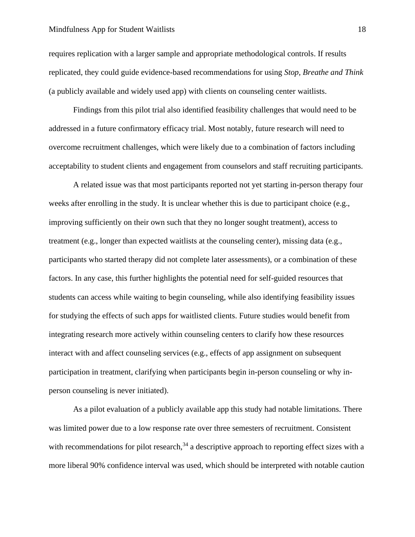# Mindfulness App for Student Waitlists 18

requires replication with a larger sample and appropriate methodological controls. If results replicated, they could guide evidence-based recommendations for using *Stop, Breathe and Think*  (a publicly available and widely used app) with clients on counseling center waitlists.

Findings from this pilot trial also identified feasibility challenges that would need to be addressed in a future confirmatory efficacy trial. Most notably, future research will need to overcome recruitment challenges, which were likely due to a combination of factors including acceptability to student clients and engagement from counselors and staff recruiting participants.

A related issue was that most participants reported not yet starting in-person therapy four weeks after enrolling in the study. It is unclear whether this is due to participant choice (e.g., improving sufficiently on their own such that they no longer sought treatment), access to treatment (e.g., longer than expected waitlists at the counseling center), missing data (e.g., participants who started therapy did not complete later assessments), or a combination of these factors. In any case, this further highlights the potential need for self-guided resources that students can access while waiting to begin counseling, while also identifying feasibility issues for studying the effects of such apps for waitlisted clients. Future studies would benefit from integrating research more actively within counseling centers to clarify how these resources interact with and affect counseling services (e.g., effects of app assignment on subsequent participation in treatment, clarifying when participants begin in-person counseling or why inperson counseling is never initiated).

As a pilot evaluation of a publicly available app this study had notable limitations. There was limited power due to a low response rate over three semesters of recruitment. Consistent with recommendations for pilot research,  $34$  a descriptive approach to reporting effect sizes with a more liberal 90% confidence interval was used, which should be interpreted with notable caution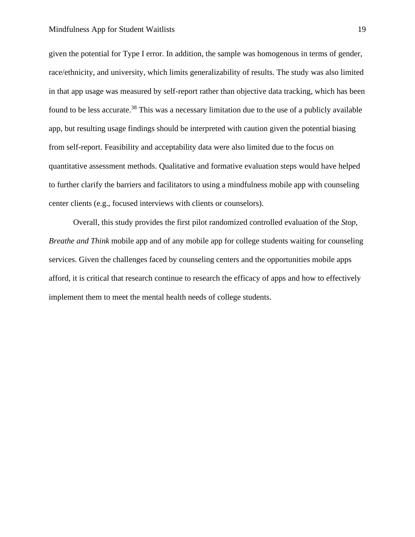given the potential for Type I error. In addition, the sample was homogenous in terms of gender, race/ethnicity, and university, which limits generalizability of results. The study was also limited in that app usage was measured by self-report rather than objective data tracking, which has been found to be less accurate.<sup>38</sup> This was a necessary limitation due to the use of a publicly available app, but resulting usage findings should be interpreted with caution given the potential biasing from self-report. Feasibility and acceptability data were also limited due to the focus on quantitative assessment methods. Qualitative and formative evaluation steps would have helped to further clarify the barriers and facilitators to using a mindfulness mobile app with counseling center clients (e.g., focused interviews with clients or counselors).

Overall, this study provides the first pilot randomized controlled evaluation of the *Stop, Breathe and Think* mobile app and of any mobile app for college students waiting for counseling services. Given the challenges faced by counseling centers and the opportunities mobile apps afford, it is critical that research continue to research the efficacy of apps and how to effectively implement them to meet the mental health needs of college students.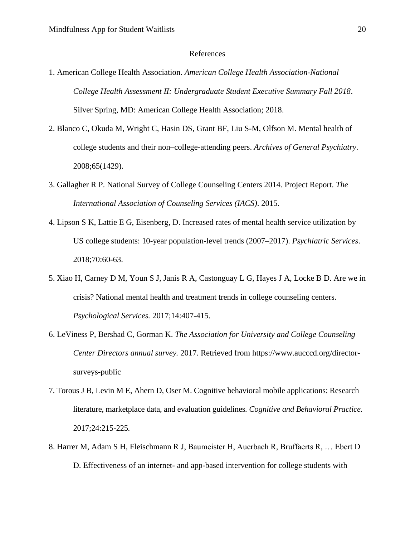# References

- 1. American College Health Association. *American College Health Association-National College Health Assessment II: Undergraduate Student Executive Summary Fall 2018*. Silver Spring, MD: American College Health Association; 2018.
- 2. Blanco C, Okuda M, Wright C, Hasin DS, Grant BF, Liu S-M, Olfson M. Mental health of college students and their non–college-attending peers. *Archives of General Psychiatry*. 2008;65(1429).
- 3. Gallagher R P. National Survey of College Counseling Centers 2014*.* Project Report. *The International Association of Counseling Services (IACS)*. 2015.
- 4. Lipson S K, Lattie E G, Eisenberg, D. Increased rates of mental health service utilization by US college students: 10-year population-level trends (2007–2017). *Psychiatric Services*. 2018;70:60-63.
- 5. Xiao H, Carney D M, Youn S J, Janis R A, Castonguay L G, Hayes J A, Locke B D. Are we in crisis? National mental health and treatment trends in college counseling centers. *Psychological Services.* 2017;14:407-415.
- 6. LeViness P, Bershad C, Gorman K. *The Association for University and College Counseling Center Directors annual survey.* 2017. Retrieved from https://www.aucccd.org/directorsurveys-public
- 7. Torous J B, Levin M E, Ahern D, Oser M. Cognitive behavioral mobile applications: Research literature, marketplace data, and evaluation guidelines*. Cognitive and Behavioral Practice.*  2017;24:215-225*.*
- 8. Harrer M, Adam S H, Fleischmann R J, Baumeister H, Auerbach R, Bruffaerts R, … Ebert D D. Effectiveness of an internet- and app-based intervention for college students with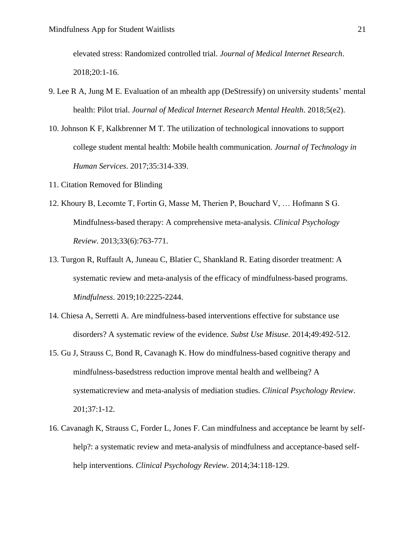elevated stress: Randomized controlled trial. *Journal of Medical Internet Research*. 2018;20:1-16.

- 9. Lee R A, Jung M E. Evaluation of an mhealth app (DeStressify) on university students' mental health: Pilot trial. *Journal of Medical Internet Research Mental Health*. 2018;5(e2).
- 10. Johnson K F, Kalkbrenner M T. The utilization of technological innovations to support college student mental health: Mobile health communication. *Journal of Technology in Human Services*. 2017;35:314-339.
- 11. Citation Removed for Blinding
- 12. Khoury B, Lecomte T, Fortin G, Masse M, Therien P, Bouchard V, … Hofmann S G. Mindfulness-based therapy: A comprehensive meta-analysis. *Clinical Psychology Review*. 2013;33(6):763-771.
- 13. Turgon R, Ruffault A, Juneau C, Blatier C, Shankland R. Eating disorder treatment: A systematic review and meta-analysis of the efficacy of mindfulness-based programs. *Mindfulness*. 2019;10:2225-2244.
- 14. Chiesa A, Serretti A. Are mindfulness-based interventions effective for substance use disorders? A systematic review of the evidence*. Subst Use Misuse*. 2014;49:492-512.
- 15. Gu J, Strauss C, Bond R, Cavanagh K. How do mindfulness-based cognitive therapy and mindfulness-basedstress reduction improve mental health and wellbeing? A systematicreview and meta-analysis of mediation studies. *Clinical Psychology Review*. 201;37:1-12.
- 16. Cavanagh K, Strauss C, Forder L, Jones F. Can mindfulness and acceptance be learnt by selfhelp?: a systematic review and meta-analysis of mindfulness and acceptance-based selfhelp interventions. *Clinical Psychology Review.* 2014;34:118-129.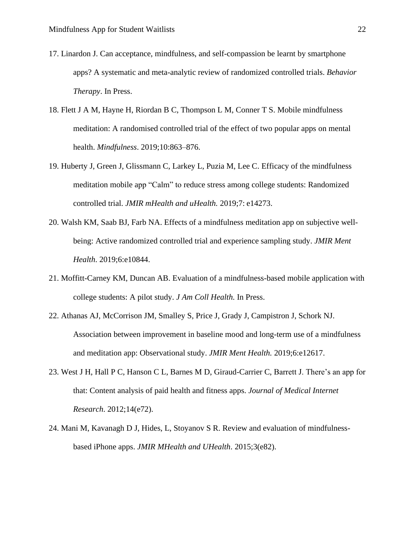- 17. Linardon J. Can acceptance, mindfulness, and self-compassion be learnt by smartphone apps? A systematic and meta-analytic review of randomized controlled trials. *Behavior Therapy*. In Press.
- 18. Flett J A M, Hayne H, Riordan B C, Thompson L M, Conner T S. Mobile mindfulness meditation: A randomised controlled trial of the effect of two popular apps on mental health. *Mindfulness*. 2019;10:863–876.
- 19. Huberty J, Green J, Glissmann C, Larkey L, Puzia M, Lee C. Efficacy of the mindfulness meditation mobile app "Calm" to reduce stress among college students: Randomized controlled trial. *JMIR mHealth and uHealth.* 2019;7: e14273.
- 20. Walsh KM, Saab BJ, Farb NA. Effects of a mindfulness meditation app on subjective wellbeing: Active randomized controlled trial and experience sampling study. *JMIR Ment Health*. 2019;6:e10844.
- 21. Moffitt-Carney KM, Duncan AB. Evaluation of a mindfulness-based mobile application with college students: A pilot study. *J Am Coll Health.* In Press.
- 22. Athanas AJ, McCorrison JM, Smalley S, Price J, Grady J, Campistron J, Schork NJ. Association between improvement in baseline mood and long-term use of a mindfulness and meditation app: Observational study. *JMIR Ment Health.* 2019;6:e12617.
- 23. West J H, Hall P C, Hanson C L, Barnes M D, Giraud-Carrier C, Barrett J. There's an app for that: Content analysis of paid health and fitness apps. *Journal of Medical Internet Research*. 2012;14(e72).
- 24. Mani M, Kavanagh D J, Hides, L, Stoyanov S R. Review and evaluation of mindfulnessbased iPhone apps. *JMIR MHealth and UHealth*. 2015;3(e82).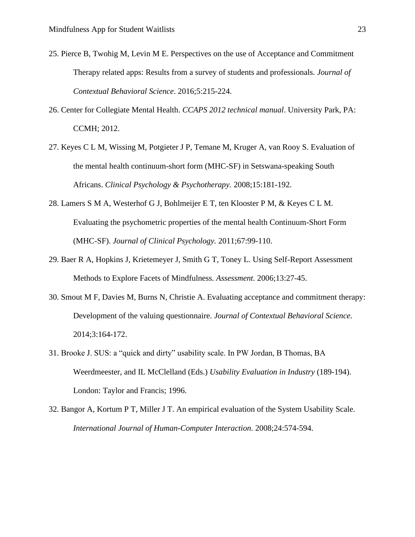- 25. Pierce B, Twohig M, Levin M E. Perspectives on the use of Acceptance and Commitment Therapy related apps: Results from a survey of students and professionals. *Journal of Contextual Behavioral Science*. 2016;5:215-224.
- 26. Center for Collegiate Mental Health. *CCAPS 2012 technical manual*. University Park, PA: CCMH; 2012.
- 27. Keyes C L M, Wissing M, Potgieter J P, Temane M, Kruger A, van Rooy S. Evaluation of the mental health continuum-short form (MHC-SF) in Setswana-speaking South Africans. *Clinical Psychology & Psychotherapy.* 2008;15:181-192.
- 28. Lamers S M A, Westerhof G J, Bohlmeijer E T, ten Klooster P M, & Keyes C L M. Evaluating the psychometric properties of the mental health Continuum-Short Form (MHC-SF). *Journal of Clinical Psychology.* 2011;67:99-110.
- 29. Baer R A, Hopkins J, Krietemeyer J, Smith G T, Toney L. Using Self-Report Assessment Methods to Explore Facets of Mindfulness. *Assessment.* 2006;13:27-45.
- 30. Smout M F, Davies M, Burns N, Christie A. Evaluating acceptance and commitment therapy: Development of the valuing questionnaire. *Journal of Contextual Behavioral Science.*  2014;3:164-172.
- 31. Brooke J. SUS: a "quick and dirty" usability scale. In PW Jordan, B Thomas, BA Weerdmeester, and IL McClelland (Eds.) *Usability Evaluation in Industry* (189-194). London: Taylor and Francis; 1996.
- 32. Bangor A, Kortum P T, Miller J T. An empirical evaluation of the System Usability Scale. *International Journal of Human-Computer Interaction.* 2008;24:574-594.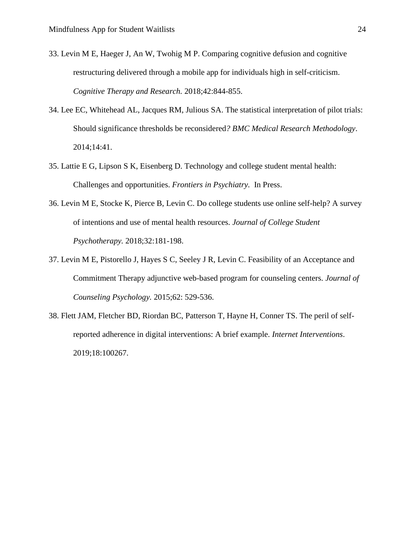- 33. Levin M E, Haeger J, An W, Twohig M P. Comparing cognitive defusion and cognitive restructuring delivered through a mobile app for individuals high in self-criticism. *Cognitive Therapy and Research.* 2018;42:844-855.
- 34. Lee EC, Whitehead AL, Jacques RM, Julious SA. The statistical interpretation of pilot trials: Should significance thresholds be reconsidered*? BMC Medical Research Methodology*. 2014;14:41.
- 35. Lattie E G, Lipson S K, Eisenberg D. Technology and college student mental health: Challenges and opportunities. *Frontiers in Psychiatry.* In Press.
- 36. Levin M E, Stocke K, Pierce B, Levin C. Do college students use online self-help? A survey of intentions and use of mental health resources. *Journal of College Student Psychotherapy.* 2018;32:181-198.
- 37. Levin M E, Pistorello J, Hayes S C, Seeley J R, Levin C. Feasibility of an Acceptance and Commitment Therapy adjunctive web-based program for counseling centers. *Journal of Counseling Psychology.* 2015;62: 529-536.
- 38. Flett JAM, Fletcher BD, Riordan BC, Patterson T, Hayne H, Conner TS. The peril of selfreported adherence in digital interventions: A brief example. *Internet Interventions*. 2019;18:100267.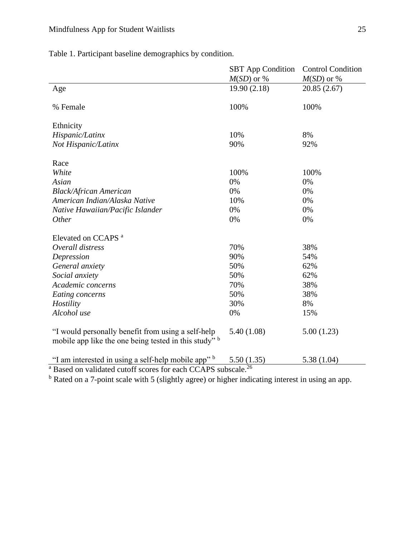Table 1. Participant baseline demographics by condition.

|                                                                                                             | <b>SBT</b> App Condition | <b>Control Condition</b> |  |  |  |  |  |
|-------------------------------------------------------------------------------------------------------------|--------------------------|--------------------------|--|--|--|--|--|
|                                                                                                             | $M(SD)$ or %             | $M(SD)$ or %             |  |  |  |  |  |
| Age                                                                                                         | 19.90(2.18)              | 20.85 (2.67)             |  |  |  |  |  |
| % Female                                                                                                    | 100%                     | 100%                     |  |  |  |  |  |
| Ethnicity                                                                                                   |                          |                          |  |  |  |  |  |
| Hispanic/Latinx                                                                                             | 10%                      | 8%                       |  |  |  |  |  |
| Not Hispanic/Latinx                                                                                         | 90%                      | 92%                      |  |  |  |  |  |
| Race                                                                                                        |                          |                          |  |  |  |  |  |
| White                                                                                                       | 100%                     | 100%                     |  |  |  |  |  |
| Asian                                                                                                       | 0%                       | 0%                       |  |  |  |  |  |
| <b>Black/African American</b>                                                                               | 0%                       | 0%                       |  |  |  |  |  |
| American Indian/Alaska Native                                                                               | 10%                      | 0%                       |  |  |  |  |  |
| Native Hawaiian/Pacific Islander                                                                            | 0%                       | 0%                       |  |  |  |  |  |
| Other                                                                                                       | 0%                       | 0%                       |  |  |  |  |  |
| Elevated on CCAPS <sup>a</sup>                                                                              |                          |                          |  |  |  |  |  |
| Overall distress                                                                                            | 70%                      | 38%                      |  |  |  |  |  |
| Depression                                                                                                  | 90%                      | 54%                      |  |  |  |  |  |
| General anxiety                                                                                             | 50%                      | 62%                      |  |  |  |  |  |
| Social anxiety                                                                                              | 50%                      | 62%                      |  |  |  |  |  |
| Academic concerns                                                                                           | 70%                      | 38%                      |  |  |  |  |  |
| Eating concerns                                                                                             | 50%                      | 38%                      |  |  |  |  |  |
| Hostility                                                                                                   | 30%                      | 8%                       |  |  |  |  |  |
| Alcohol use                                                                                                 | 0%                       | 15%                      |  |  |  |  |  |
| "I would personally benefit from using a self-help<br>mobile app like the one being tested in this study" b | 5.40(1.08)               | 5.00(1.23)               |  |  |  |  |  |
| "I am interested in using a self-help mobile app" b                                                         | 5.50(1.35)               | 5.38(1.04)               |  |  |  |  |  |
| <sup>a</sup> Based on validated cutoff scores for each CCAPS subscale. <sup>26</sup>                        |                          |                          |  |  |  |  |  |

<sup>b</sup> Rated on a 7-point scale with 5 (slightly agree) or higher indicating interest in using an app.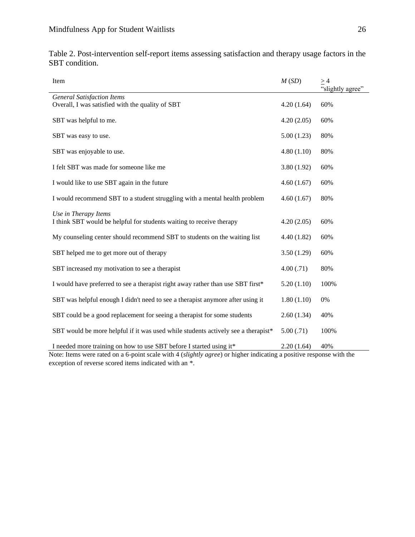| Item                                                                                  | M(SD)      | $\geq 4$<br>"slightly agree" |
|---------------------------------------------------------------------------------------|------------|------------------------------|
| <b>General Satisfaction Items</b><br>Overall, I was satisfied with the quality of SBT | 4.20(1.64) | 60%                          |
|                                                                                       |            |                              |
| SBT was helpful to me.                                                                | 4.20(2.05) | 60%                          |
| SBT was easy to use.                                                                  | 5.00(1.23) | 80%                          |
| SBT was enjoyable to use.                                                             | 4.80(1.10) | 80%                          |
| I felt SBT was made for someone like me                                               | 3.80(1.92) | 60%                          |
| I would like to use SBT again in the future                                           | 4.60(1.67) | 60%                          |
| I would recommend SBT to a student struggling with a mental health problem            | 4.60(1.67) | 80%                          |
| Use in Therapy Items                                                                  |            |                              |
| I think SBT would be helpful for students waiting to receive therapy                  | 4.20(2.05) | 60%                          |
| My counseling center should recommend SBT to students on the waiting list             | 4.40(1.82) | 60%                          |
| SBT helped me to get more out of therapy                                              | 3.50(1.29) | 60%                          |
| SBT increased my motivation to see a therapist                                        | 4.00(.71)  | 80%                          |
| I would have preferred to see a therapist right away rather than use SBT first*       | 5.20(1.10) | 100%                         |
| SBT was helpful enough I didn't need to see a therapist anymore after using it        | 1.80(1.10) | $0\%$                        |
| SBT could be a good replacement for seeing a therapist for some students              | 2.60(1.34) | 40%                          |
| SBT would be more helpful if it was used while students actively see a therapist*     | 5.00(.71)  | 100%                         |
| I needed more training on how to use SBT before I started using it*                   | 2.20(1.64) | 40%                          |

Table 2. Post-intervention self-report items assessing satisfaction and therapy usage factors in the SBT condition.

Note: Items were rated on a 6-point scale with 4 (*slightly agree*) or higher indicating a positive response with the exception of reverse scored items indicated with an \*.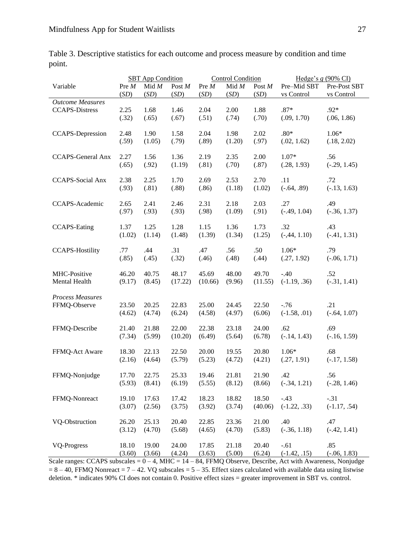|                          |        |         | <b>Control Condition</b><br><b>SBT</b> App Condition |         |         | Hedge's $g(90\% \text{ CI})$ |                |                |
|--------------------------|--------|---------|------------------------------------------------------|---------|---------|------------------------------|----------------|----------------|
| Variable                 | Pre M  | Mid $M$ | Post M                                               | Pre M   | Mid $M$ | Post $\cal M$                | Pre-Mid SBT    | Pre-Post SBT   |
|                          | (SD)   | (SD)    | (SD)                                                 | (SD)    | (SD)    | (SD)                         | vs Control     | vs Control     |
| <b>Outcome Measures</b>  |        |         |                                                      |         |         |                              |                |                |
| <b>CCAPS-Distress</b>    | 2.25   | 1.68    | 1.46                                                 | 2.04    | 2.00    | 1.88                         | $.87*$         | .92*           |
|                          | (.32)  | (.65)   | (.67)                                                | (.51)   | (.74)   | (.70)                        | (.09, 1.70)    | (.06, 1.86)    |
| <b>CCAPS-Depression</b>  | 2.48   | 1.90    | 1.58                                                 | 2.04    | 1.98    | 2.02                         | $.80*$         | $1.06*$        |
|                          | (.59)  | (1.05)  | (.79)                                                | (.89)   | (1.20)  | (.97)                        | (.02, 1.62)    | (.18, 2.02)    |
| <b>CCAPS-General Anx</b> | 2.27   | 1.56    | 1.36                                                 | 2.19    | 2.35    | 2.00                         | $1.07*$        | .56            |
|                          | (.65)  | (.92)   | (1.19)                                               | (.81)   | (.70)   | (.87)                        | (.28, 1.93)    | $(-.29, 1.45)$ |
| <b>CCAPS-Social Anx</b>  | 2.38   | 2.25    | 1.70                                                 | 2.69    | 2.53    | 2.70                         | .11            | .72            |
|                          | (.93)  | (.81)   | (.88)                                                | (.86)   | (1.18)  | (1.02)                       | $(-.64, .89)$  | $(-.13, 1.63)$ |
| CCAPS-Academic           | 2.65   | 2.41    | 2.46                                                 | 2.31    | 2.18    | 2.03                         | .27            | .49            |
|                          | (.97)  | (.93)   | (.93)                                                | (.98)   | (1.09)  | (.91)                        | $(-.49, 1.04)$ | $(-.36, 1.37)$ |
| <b>CCAPS-Eating</b>      | 1.37   | 1.25    | 1.28                                                 | 1.15    | 1.36    | 1.73                         | .32            | .43            |
|                          | (1.02) | (1.14)  | (1.48)                                               | (1.39)  | (1.34)  | (1.25)                       | $(-,44, 1.10)$ | $(-.41, 1.31)$ |
| <b>CCAPS-Hostility</b>   | .77    | .44     | .31                                                  | .47     | .56     | .50                          | $1.06*$        | .79            |
|                          | (.85)  | (.45)   | (.32)                                                | (.46)   | (.48)   | (.44)                        | (.27, 1.92)    | $(-.06, 1.71)$ |
| MHC-Positive             | 46.20  | 40.75   | 48.17                                                | 45.69   | 48.00   | 49.70                        | $-.40$         | .52            |
| Mental Health            | (9.17) | (8.45)  | (17.22)                                              | (10.66) | (9.96)  | (11.55)                      | $(-1.19, .36)$ | $(-.31, 1.41)$ |
| <b>Process Measures</b>  | 23.50  | 20.25   | 22.83                                                | 25.00   | 24.45   | 22.50                        | $-.76$         | .21            |
| FFMQ-Observe             | (4.62) | (4.74)  | (6.24)                                               | (4.58)  | (4.97)  | (6.06)                       | $(-1.58, .01)$ | $(-.64, 1.07)$ |
| FFMQ-Describe            | 21.40  | 21.88   | 22.00                                                | 22.38   | 23.18   | 24.00                        | .62            | .69            |
|                          | (7.34) | (5.99)  | (10.20)                                              | (6.49)  | (5.64)  | (6.78)                       | $(-.14, 1.43)$ | $(-.16, 1.59)$ |
| FFMQ-Act Aware           | 18.30  | 22.13   | 22.50                                                | 20.00   | 19.55   | 20.80                        | $1.06*$        | .68            |
|                          | (2.16) | (4.64)  | (5.79)                                               | (5.23)  | (4.72)  | (4.21)                       | (.27, 1.91)    | $(-.17, 1.58)$ |
| FFMQ-Nonjudge            | 17.70  | 22.75   | 25.33                                                | 19.46   | 21.81   | 21.90                        | .42            | .56            |
|                          | (5.93) | (8.41)  | (6.19)                                               | (5.55)  | (8.12)  | (8.66)                       | $(-.34, 1.21)$ | $(-.28, 1.46)$ |
| FFMQ-Nonreact            | 19.10  | 17.63   | 17.42                                                | 18.23   | 18.82   | 18.50                        | $-.43$         | $-.31$         |
|                          | (3.07) | (2.56)  | (3.75)                                               | (3.92)  | (3.74)  | (40.06)                      | $(-1.22, .33)$ | $(-1.17, .54)$ |
| VQ-Obstruction           | 26.20  | 25.13   | 20.40                                                | 22.85   | 23.36   | 21.00                        | .40            | .47            |
|                          | (3.12) | (4.70)  | (5.68)                                               | (4.65)  | (4.70)  | (5.83)                       | $(-.36, 1.18)$ | $(-.42, 1.41)$ |
| <b>VQ-Progress</b>       | 18.10  | 19.00   | 24.00                                                | 17.85   | 21.18   | 20.40                        | $-.61$         | .85            |
|                          | (3.60) | (3.66)  | (4.24)                                               | (3.63)  | (5.00)  | (6.24)                       | $(-1.42, .15)$ | $(-.06, 1.83)$ |

Table 3. Descriptive statistics for each outcome and process measure by condition and time point.

Scale ranges: CCAPS subscales =  $0 - 4$ , MHC =  $14 - 84$ , FFMQ Observe, Describe, Act with Awareness, Nonjudge  $= 8 - 40$ , FFMQ Nonreact  $= 7 - 42$ . VQ subscales  $= 5 - 35$ . Effect sizes calculated with available data using listwise deletion. \* indicates 90% CI does not contain 0. Positive effect sizes = greater improvement in SBT vs. control.